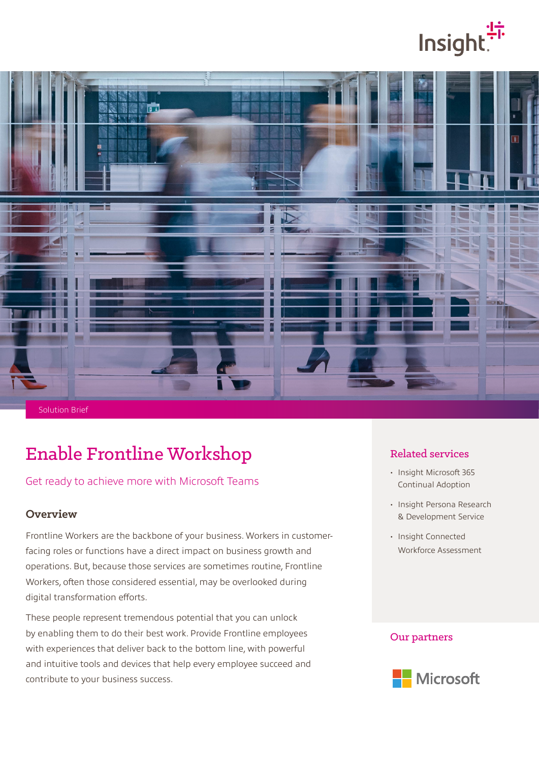# lnsight.



Solution Brief

## Enable Frontline Workshop

#### Get ready to achieve more with Microsoft Teams

#### **Overview**

Frontline Workers are the backbone of your business. Workers in customerfacing roles or functions have a direct impact on business growth and operations. But, because those services are sometimes routine, Frontline Workers, often those considered essential, may be overlooked during digital transformation efforts.

These people represent tremendous potential that you can unlock by enabling them to do their best work. Provide Frontline employees with experiences that deliver back to the bottom line, with powerful and intuitive tools and devices that help every employee succeed and contribute to your business success.

#### Related services

- Insight Microsoft 365 Continual Adoption
- Insight Persona Research & Development Service
- Insight Connected Workforce Assessment

#### Our partners